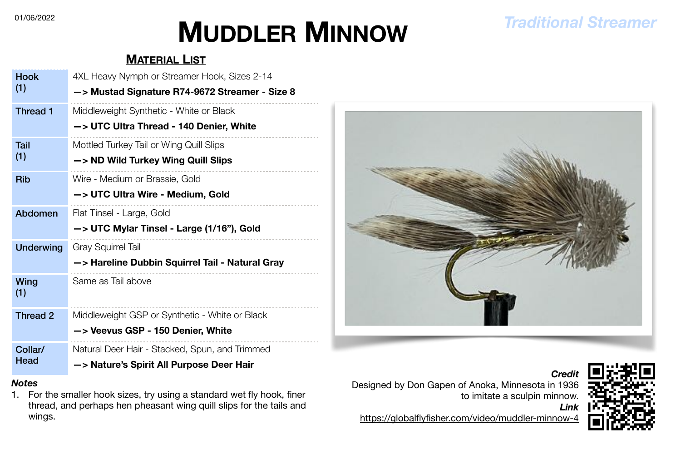# **MUDDLER MINNOW** *Traditional Streamer*

## **MATERIAL LIST**

| Hook<br>(1)      | 4XL Heavy Nymph or Streamer Hook, Sizes 2-14<br>-> Mustad Signature R74-9672 Streamer - Size 8 |
|------------------|------------------------------------------------------------------------------------------------|
| Thread 1         | Middleweight Synthetic - White or Black                                                        |
|                  | -> UTC Ultra Thread - 140 Denier, White                                                        |
| Tail             | Mottled Turkey Tail or Wing Quill Slips                                                        |
| (1)              | -> ND Wild Turkey Wing Quill Slips                                                             |
| <b>Rib</b>       | Wire - Medium or Brassie, Gold                                                                 |
|                  | -> UTC Ultra Wire - Medium, Gold                                                               |
| Abdomen          | Flat Tinsel - Large, Gold                                                                      |
|                  | -> UTC Mylar Tinsel - Large (1/16"), Gold                                                      |
| <b>Underwing</b> | <b>Gray Squirrel Tail</b>                                                                      |
|                  | -> Hareline Dubbin Squirrel Tail - Natural Gray                                                |
| Wing<br>(1)      | Same as Tail above                                                                             |
| Thread 2         | Middleweight GSP or Synthetic - White or Black                                                 |
|                  | -> Veevus GSP - 150 Denier, White                                                              |
| Collar/          | Natural Deer Hair - Stacked, Spun, and Trimmed                                                 |
| Head             | -> Nature's Spirit All Purpose Deer Hair                                                       |

## *Notes*

1. For the smaller hook sizes, try using a standard wet fly hook, finer thread, and perhaps hen pheasant wing quill slips for the tails and wings.

Designed by Don Gapen of Anoka, Minnesota in 1936 to imitate a sculpin minnow. *Link* 



*Credit* 

<https://globalflyfisher.com/video/muddler-minnow-4>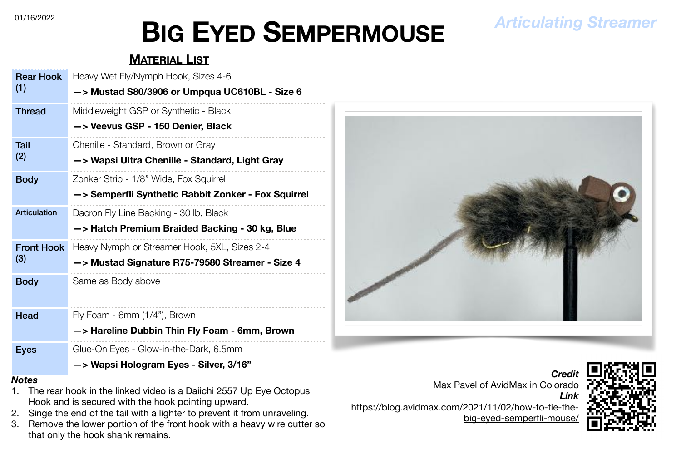# **BIG EYED SEMPERMOUSE** *Articulating Streamer*

## **MATERIAL LIST**

| <b>Rear Hook</b><br>(1)  | Heavy Wet Fly/Nymph Hook, Sizes 4-6<br>-> Mustad S80/3906 or Umpqua UC610BL - Size 6            |
|--------------------------|-------------------------------------------------------------------------------------------------|
| <b>Thread</b>            | Middleweight GSP or Synthetic - Black<br>-> Veevus GSP - 150 Denier, Black                      |
| Tail<br>(2)              | Chenille - Standard, Brown or Gray<br>-> Wapsi Ultra Chenille - Standard, Light Gray            |
| Body                     | Zonker Strip - 1/8" Wide, Fox Squirrel<br>-> Semperfli Synthetic Rabbit Zonker - Fox Squirrel   |
| <b>Articulation</b>      | Dacron Fly Line Backing - 30 lb, Black<br>-> Hatch Premium Braided Backing - 30 kg, Blue        |
| <b>Front Hook</b><br>(3) | Heavy Nymph or Streamer Hook, 5XL, Sizes 2-4<br>-> Mustad Signature R75-79580 Streamer - Size 4 |
| Body                     | Same as Body above                                                                              |
| Head                     | Fly Foam - 6mm (1/4"), Brown<br>-> Hareline Dubbin Thin Fly Foam - 6mm, Brown                   |
| Eyes                     | Glue-On Eyes - Glow-in-the-Dark, 6.5mm<br>-> Wapsi Hologram Eyes - Silver, 3/16"                |



### *Notes*

- 1. The rear hook in the linked video is a Daiichi 2557 Up Eye Octopus Hook and is secured with the hook pointing upward.
- 2. Singe the end of the tail with a lighter to prevent it from unraveling.
- 3. Remove the lower portion of the front hook with a heavy wire cutter so that only the hook shank remains.

Cred<sub>i</sub> Max Pavel of AvidMax in Colorado

*Link*  [https://blog.avidmax.com/2021/11/02/how-to-tie-the](https://blog.avidmax.com/2021/11/02/how-to-tie-the-big-eyed-semperfli-mouse/)big-eyed-semperfli-mouse

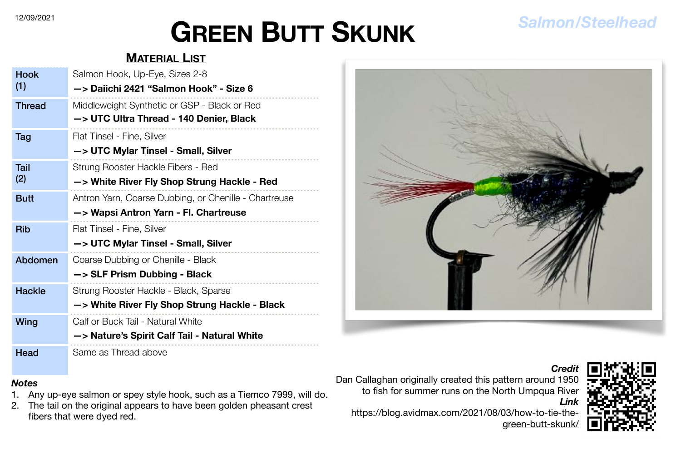# **GREEN BUTT SKUNK** *Salmon/Steelhead*

## **MATERIAL LIST**

| Hook<br>(1)   | Salmon Hook, Up-Eye, Sizes 2-8<br>-> Daiichi 2421 "Salmon Hook" - Size 6                       |
|---------------|------------------------------------------------------------------------------------------------|
| <b>Thread</b> | Middleweight Synthetic or GSP - Black or Red<br>-> UTC Ultra Thread - 140 Denier, Black        |
| Taq           | Flat Tinsel - Fine, Silver<br>-> UTC Mylar Tinsel - Small, Silver                              |
| Tail<br>(2)   | Strung Rooster Hackle Fibers - Red<br>-> White River Fly Shop Strung Hackle - Red              |
| <b>Butt</b>   | Antron Yarn, Coarse Dubbing, or Chenille - Chartreuse<br>-> Wapsi Antron Yarn - Fl. Chartreuse |
| <b>Rib</b>    | Flat Tinsel - Fine, Silver<br>-> UTC Mylar Tinsel - Small, Silver                              |
| Abdomen       | Coarse Dubbing or Chenille - Black<br>-> SLF Prism Dubbing - Black                             |
| Hackle        | Strung Rooster Hackle - Black, Sparse<br>-> White River Fly Shop Strung Hackle - Black         |
| Wing          | Calf or Buck Tail - Natural White<br>-> Nature's Spirit Calf Tail - Natural White              |
| Head          | Same as Thread above                                                                           |



### *Notes*

- 1. Any up-eye salmon or spey style hook, such as a Tiemco 7999, will do.
- 2. The tail on the original appears to have been golden pheasant crest fibers that were dyed red.

*Credit*  Dan Callaghan originally created this pattern around 1950 to fish for summer runs on the North Umpqua River *Link* 



[https://blog.avidmax.com/2021/08/03/how-to-tie-the-](https://blog.avidmax.com/2021/08/03/how-to-tie-the-green-butt-skunk/)

green-butt-skun